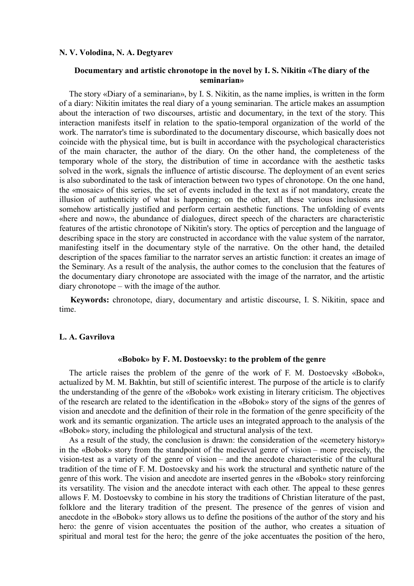### **N. V. Volodina, N. A. Degtyarev**

## **Documentary and artistic chronotope in the novel by I. S. Nikitin «The diary of the seminarian»**

The story «Diary of a seminarian», by I. S. Nikitin, as the name implies, is written in the form of a diary: Nikitin imitates the real diary of a young seminarian. The article makes an assumption about the interaction of two discourses, artistic and documentary, in the text of the story. This interaction manifests itself in relation to the spatio-temporal organization of the world of the work. The narrator's time is subordinated to the documentary discourse, which basically does not coincide with the physical time, but is built in accordance with the psychological characteristics of the main character, the author of the diary. On the other hand, the completeness of the temporary whole of the story, the distribution of time in accordance with the aesthetic tasks solved in the work, signals the influence of artistic discourse. The deployment of an event series is also subordinated to the task of interaction between two types of chronotope. On the one hand, the «mosaic» of this series, the set of events included in the text as if not mandatory, create the illusion of authenticity of what is happening; on the other, all these various inclusions are somehow artistically justified and perform certain aesthetic functions. The unfolding of events «here and now», the abundance of dialogues, direct speech of the characters are characteristic features of the artistic chronotope of Nikitin's story. The optics of perception and the language of describing space in the story are constructed in accordance with the value system of the narrator, manifesting itself in the documentary style of the narrative. On the other hand, the detailed description of the spaces familiar to the narrator serves an artistic function: it creates an image of the Seminary. As a result of the analysis, the author comes to the conclusion that the features of the documentary diary chronotope are associated with the image of the narrator, and the artistic diary chronotope – with the image of the author.

**Keywords:** chronotope, diary, documentary and artistic discourse, I. S. Nikitin, space and time.

### **L. A. Gavrilova**

#### **«Bobok» by F. M. Dostoevsky: to the problem of the genre**

The article raises the problem of the genre of the work of F. M. Dostoevsky «Bobok», actualized by M. M. Bakhtin, but still of scientific interest. The purpose of the article is to clarify the understanding of the genre of the «Bobok» work existing in literary criticism. The objectives of the research are related to the identification in the «Bobok» story of the signs of the genres of vision and anecdote and the definition of their role in the formation of the genre specificity of the work and its semantic organization. The article uses an integrated approach to the analysis of the «Bobok» story, including the philological and structural analysis of the text.

As a result of the study, the conclusion is drawn: the consideration of the «cemetery history» in the «Bobok» story from the standpoint of the medieval genre of vision – more precisely, the vision-test as a variety of the genre of vision – and the anecdote characteristic of the cultural tradition of the time of F. M. Dostoevsky and his work the structural and synthetic nature of the genre of this work. The vision and anecdote are inserted genres in the «Bobok» story reinforcing its versatility. The vision and the anecdote interact with each other. The appeal to these genres allows F. M. Dostoevsky to combine in his story the traditions of Christian literature of the past, folklore and the literary tradition of the present. The presence of the genres of vision and anecdote in the «Bobok» story allows us to define the positions of the author of the story and his hero: the genre of vision accentuates the position of the author, who creates a situation of spiritual and moral test for the hero; the genre of the joke accentuates the position of the hero,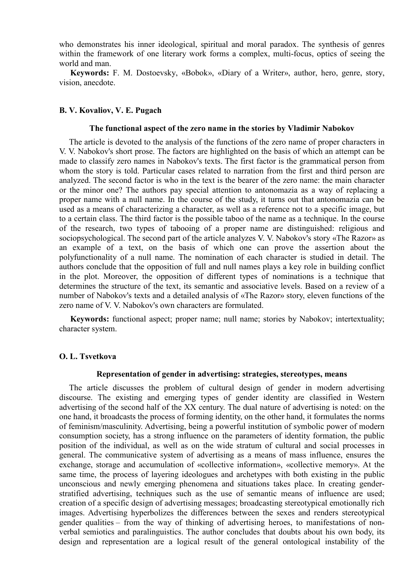who demonstrates his inner ideological, spiritual and moral paradox. The synthesis of genres within the framework of one literary work forms a complex, multi-focus, optics of seeing the world and man.

**Keywords:** F. M. Dostoevsky, «Bobok», «Diary of a Writer», author, hero, genre, story, vision, anecdote.

## **B. V. Kovaliov, V. E. Pugach**

#### **The functional aspect of the zero name in the stories by Vladimir Nabokov**

The article is devoted to the analysis of the functions of the zero name of proper characters in V. V. Nabokov's short prose. The factors are highlighted on the basis of which an attempt can be made to classify zero names in Nabokov's texts. The first factor is the grammatical person from whom the story is told. Particular cases related to narration from the first and third person are analyzed. The second factor is who in the text is the bearer of the zero name: the main character or the minor one? The authors pay special attention to antonomazia as a way of replacing a proper name with a null name. In the course of the study, it turns out that antonomazia can be used as a means of characterizing a character, as well as a reference not to a specific image, but to a certain class. The third factor is the possible taboo of the name as a technique. In the course of the research, two types of tabooing of a proper name are distinguished: religious and sociopsychological. The second part of the article analyzes V. V. Nabokov's story «The Razor» as an example of a text, on the basis of which one can prove the assertion about the polyfunctionality of a null name. The nomination of each character is studied in detail. The authors conclude that the opposition of full and null names plays a key role in building conflict in the plot. Moreover, the opposition of different types of nominations is a technique that determines the structure of the text, its semantic and associative levels. Based on a review of a number of Nabokov's texts and a detailed analysis of «The Razor» story, eleven functions of the zero name of V. V. Nabokov's own characters are formulated.

**Keywords:** functional aspect; proper name; null name; stories by Nabokov; intertextuality; character system.

## **O. L. Tsvetkova**

## **Representation of gender in advertising: strategies, stereotypes, means**

The article discusses the problem of cultural design of gender in modern advertising discourse. The existing and emerging types of gender identity are classified in Western advertising of the second half of the XX century. The dual nature of advertising is noted: on the one hand, it broadcasts the process of forming identity, on the other hand, it formulates the norms of feminism/masculinity. Advertising, being a powerful institution of symbolic power of modern consumption society, has a strong influence on the parameters of identity formation, the public position of the individual, as well as on the wide stratum of cultural and social processes in general. The communicative system of advertising as a means of mass influence, ensures the exchange, storage and accumulation of «collective information», «collective memory». At the same time, the process of layering ideologues and archetypes with both existing in the public unconscious and newly emerging phenomena and situations takes place. In creating genderstratified advertising, techniques such as the use of semantic means of influence are used; creation of a specific design of advertising messages; broadcasting stereotypical emotionally rich images. Advertising hyperbolizes the differences between the sexes and renders stereotypical gender qualities – from the way of thinking of advertising heroes, to manifestations of nonverbal semiotics and paralinguistics. The author concludes that doubts about his own body, its design and representation are a logical result of the general ontological instability of the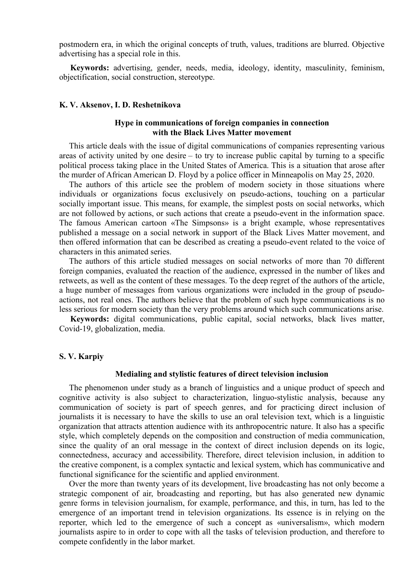postmodern era, in which the original concepts of truth, values, traditions are blurred. Objective advertising has a special role in this.

**Keywords:** advertising, gender, needs, media, ideology, identity, masculinity, feminism, objectification, social construction, stereotype.

### **K. V. Aksenov, I. D. Reshetnikova**

## **Hype in communications of foreign companies in connection with the Black Lives Matter movement**

This article deals with the issue of digital communications of companies representing various areas of activity united by one desire – to try to increase public capital by turning to a specific political process taking place in the United States of America. This is a situation that arose after the murder of African American D. Floyd by a police officer in Minneapolis on May 25, 2020.

The authors of this article see the problem of modern society in those situations where individuals or organizations focus exclusively on pseudo-actions, touching on a particular socially important issue. This means, for example, the simplest posts on social networks, which are not followed by actions, or such actions that create a pseudo-event in the information space. The famous American cartoon «The Simpsons» is a bright example, whose representatives published a message on a social network in support of the Black Lives Matter movement, and then offered information that can be described as creating a pseudo-event related to the voice of characters in this animated series.

The authors of this article studied messages on social networks of more than 70 different foreign companies, evaluated the reaction of the audience, expressed in the number of likes and retweets, as well as the content of these messages. To the deep regret of the authors of the article, a huge number of messages from various organizations were included in the group of pseudoactions, not real ones. The authors believe that the problem of such hype communications is no less serious for modern society than the very problems around which such communications arise.

**Keywords:** digital communications, public capital, social networks, black lives matter, Covid-19, globalization, media.

## **S. V. Karpiy**

## **Medialing and stylistic features of direct television inclusion**

The phenomenon under study as a branch of linguistics and a unique product of speech and cognitive activity is also subject to characterization, linguo-stylistic analysis, because any communication of society is part of speech genres, and for practicing direct inclusion of journalists it is necessary to have the skills to use an oral television text, which is a linguistic organization that attracts attention audience with its anthropocentric nature. It also has a specific style, which completely depends on the composition and construction of media communication, since the quality of an oral message in the context of direct inclusion depends on its logic, connectedness, accuracy and accessibility. Therefore, direct television inclusion, in addition to the creative component, is a complex syntactic and lexical system, which has communicative and functional significance for the scientific and applied environment.

Over the more than twenty years of its development, live broadcasting has not only become a strategic component of air, broadcasting and reporting, but has also generated new dynamic genre forms in television journalism, for example, performance, and this, in turn, has led to the emergence of an important trend in television organizations. Its essence is in relying on the reporter, which led to the emergence of such a concept as «universalism», which modern journalists aspire to in order to cope with all the tasks of television production, and therefore to compete confidently in the labor market.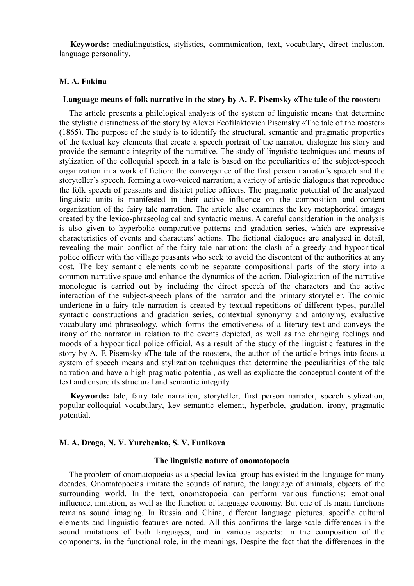**Keywords:** medialinguistics, stylistics, communication, text, vocabulary, direct inclusion, language personality.

## **M. A. Fokina**

### **Language means of folk narrative in the story by A. F. Pisemsky «The tale of the rooster»**

The article presents a philological analysis of the system of linguistic means that determine the stylistic distinctness of the story by Alexei Feofilaktovich Pisemsky «The tale of the rooster» (1865). The purpose of the study is to identify the structural, semantic and pragmatic properties of the textual key elements that create a speech portrait of the narrator, dialogize his story and provide the semantic integrity of the narrative. The study of linguistic techniques and means of stylization of the colloquial speech in a tale is based on the peculiarities of the subject-speech organization in a work of fiction: the convergence of the first person narrator's speech and the storyteller's speech, forming a two-voiced narration; a variety of artistic dialogues that reproduce the folk speech of peasants and district police officers. The pragmatic potential of the analyzed linguistic units is manifested in their active influence on the composition and content organization of the fairy tale narration. The article also examines the key metaphorical images created by the lexico-phraseological and syntactic means. A careful consideration in the analysis is also given to hyperbolic comparative patterns and gradation series, which are expressive characteristics of events and characters' actions. The fictional dialogues are analyzed in detail, revealing the main conflict of the fairy tale narration: the clash of a greedy and hypocritical police officer with the village peasants who seek to avoid the discontent of the authorities at any cost. The key semantic elements combine separate compositional parts of the story into a common narrative space and enhance the dynamics of the action. Dialogization of the narrative monologue is carried out by including the direct speech of the characters and the active interaction of the subject-speech plans of the narrator and the primary storyteller. The comic undertone in a fairy tale narration is created by textual repetitions of different types, parallel syntactic constructions and gradation series, contextual synonymy and antonymy, evaluative vocabulary and phraseology, which forms the emotiveness of a literary text and conveys the irony of the narrator in relation to the events depicted, as well as the changing feelings and moods of a hypocritical police official. As a result of the study of the linguistic features in the story by A. F. Pisemsky «The tale of the rooster», the author of the article brings into focus a system of speech means and stylization techniques that determine the peculiarities of the tale narration and have a high pragmatic potential, as well as explicate the conceptual content of the text and ensure its structural and semantic integrity.

**Keywords:** tale, fairy tale narration, storyteller, first person narrator, speech stylization, popular-colloquial vocabulary, key semantic element, hyperbole, gradation, irony, pragmatic potential.

## **M. A. Droga, N. V. Yurchenko, S. V. Funikova**

## **The linguistic nature of onomatopoeia**

The problem of onomatopoeias as a special lexical group has existed in the language for many decades. Onomatopoeias imitate the sounds of nature, the language of animals, objects of the surrounding world. In the text, onomatopoeia can perform various functions: emotional influence, imitation, as well as the function of language economy. But one of its main functions remains sound imaging. In Russia and China, different language pictures, specific cultural elements and linguistic features are noted. All this confirms the large-scale differences in the sound imitations of both languages, and in various aspects: in the composition of the components, in the functional role, in the meanings. Despite the fact that the differences in the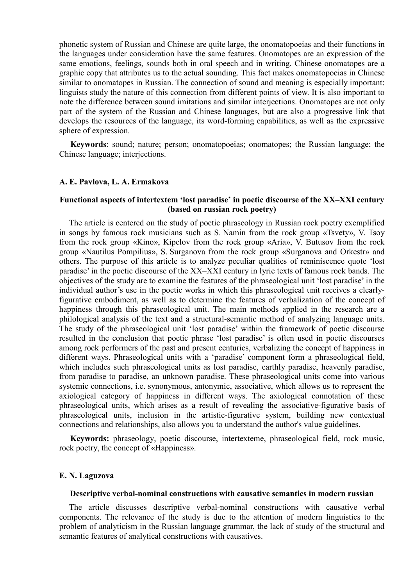phonetic system of Russian and Chinese are quite large, the onomatopoeias and their functions in the languages under consideration have the same features. Onomatopes are an expression of the same emotions, feelings, sounds both in oral speech and in writing. Chinese onomatopes are a graphic copy that attributes us to the actual sounding. This fact makes onomatopoeias in Chinese similar to onomatopes in Russian. The connection of sound and meaning is especially important: linguists study the nature of this connection from different points of view. It is also important to note the difference between sound imitations and similar interjections. Onomatopes are not only part of the system of the Russian and Chinese languages, but are also a progressive link that develops the resources of the language, its word-forming capabilities, as well as the expressive sphere of expression.

**Keywords**: sound; nature; person; onomatopoeias; onomatopes; the Russian language; the Chinese language; interjections.

## **A. E. Pavlova, L. A. Ermakova**

## **Functional aspects of intertextem 'lost paradise' in poetic discourse of the XX–XXI century (based on russian rock poetry)**

The article is centered on the study of poetic phraseology in Russian rock poetry exemplified in songs by famous rock musicians such as S. Namin from the rock group «Tsvety», V. Tsoy from the rock group «Kino», Kipelov from the rock group «Aria», V. Butusov from the rock group «Nautilus Pompilius», S. Surganova from the rock group «Surganova and Orkestr» and others. The purpose of this article is to analyze peculiar qualities of reminiscence quote 'lost paradise' in the poetic discourse of the XX–XXI century in lyric texts of famous rock bands. The objectives of the study are to examine the features of the phraseological unit 'lost paradise' in the individual author's use in the poetic works in which this phraseological unit receives a clearlyfigurative embodiment, as well as to determine the features of verbalization of the concept of happiness through this phraseological unit. The main methods applied in the research are a philological analysis of the text and a structural-semantic method of analyzing language units. The study of the phraseological unit 'lost paradise' within the framework of poetic discourse resulted in the conclusion that poetic phrase 'lost paradise' is often used in poetic discourses among rock performers of the past and present centuries, verbalizing the concept of happiness in different ways. Phraseologiсal units with a 'paradise' component form a phraseological field, which includes such phraseological units as lost paradise, earthly paradise, heavenly paradise, from paradise to paradise, an unknown paradise. These phraseological units come into various systemic connections, i.e. synonymous, antonymic, associative, which allows us to represent the axiological category of happiness in different ways. The axiological connotation of these phraseological units, which arises as a result of revealing the associative-figurative basis of phraseological units, inclusion in the artistic-figurative system, building new contextual connections and relationships, also allows you to understand the author's value guidelines.

**Keywords:** phraseology, poetic discourse, intertexteme, phraseological field, rock music, rock poetry, the concept of «Happiness».

## **E. N. Laguzova**

#### **Descriptive verbal-nominal constructions with causative semantics in modern russian**

The article discusses descriptive verbal-nominal constructions with causative verbal components. The relevance of the study is due to the attention of modern linguistics to the problem of analyticism in the Russian language grammar, the lack of study of the structural and semantic features of analytical constructions with causatives.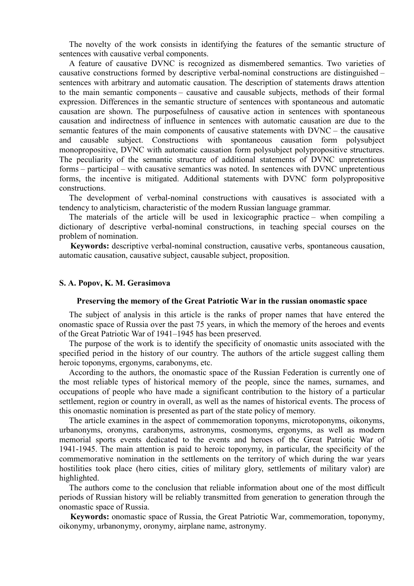The novelty of the work consists in identifying the features of the semantic structure of sentences with causative verbal components.

A feature of causative DVNC is recognized as dismembered semantics. Two varieties of causative constructions formed by descriptive verbal-nominal constructions are distinguished – sentences with arbitrary and automatic causation. The description of statements draws attention to the main semantic components – causative and causable subjects, methods of their formal expression. Differences in the semantic structure of sentences with spontaneous and automatic causation are shown. The purposefulness of causative action in sentences with spontaneous causation and indirectness of influence in sentences with automatic causation are due to the semantic features of the main components of causative statements with DVNC – the causative and causable subject. Constructions with spontaneous causation form polysubject monopropositive, DVNC with automatic causation form polysubject polypropositive structures. The peculiarity of the semantic structure of additional statements of DVNC unpretentious forms – participal – with causative semantics was noted. In sentences with DVNC unpretentious forms, the incentive is mitigated. Additional statements with DVNC form polypropositive constructions.

The development of verbal-nominal constructions with causatives is associated with a tendency to analyticism, characteristic of the modern Russian language grammar.

The materials of the article will be used in lexicographic practice – when compiling a dictionary of descriptive verbal-nominal constructions, in teaching special courses on the problem of nomination.

**Keywords:** descriptive verbal-nominal construction, causative verbs, spontaneous causation, automatic causation, causative subject, causable subject, proposition.

#### **S. A. Popov, K. M. Gerasimova**

#### **Preserving the memory of the Great Patriotic War in the russian onomastic space**

The subject of analysis in this article is the ranks of proper names that have entered the onomastic space of Russia over the past 75 years, in which the memory of the heroes and events of the Great Patriotic War of 1941–1945 has been preserved.

The purpose of the work is to identify the specificity of onomastic units associated with the specified period in the history of our country. The authors of the article suggest calling them heroic toponyms, ergonyms, carabonyms, etc.

According to the authors, the onomastic space of the Russian Federation is currently one of the most reliable types of historical memory of the people, since the names, surnames, and occupations of people who have made a significant contribution to the history of a particular settlement, region or country in overall, as well as the names of historical events. The process of this onomastic nomination is presented as part of the state policy of memory.

The article examines in the aspect of commemoration toponyms, microtoponyms, oikonyms, urbanonyms, oronyms, carabonyms, astronyms, cosmonyms, ergonyms, as well as modern memorial sports events dedicated to the events and heroes of the Great Patriotic War of 1941-1945. The main attention is paid to heroic toponymy, in particular, the specificity of the commemorative nomination in the settlements on the territory of which during the war years hostilities took place (hero cities, cities of military glory, settlements of military valor) are highlighted.

The authors come to the conclusion that reliable information about one of the most difficult periods of Russian history will be reliably transmitted from generation to generation through the onomastic space of Russia.

**Keywords:** onomastic space of Russia, the Great Patriotic War, commemoration, toponymy, oikonymy, urbanonymy, oronymy, airplane name, astronymy.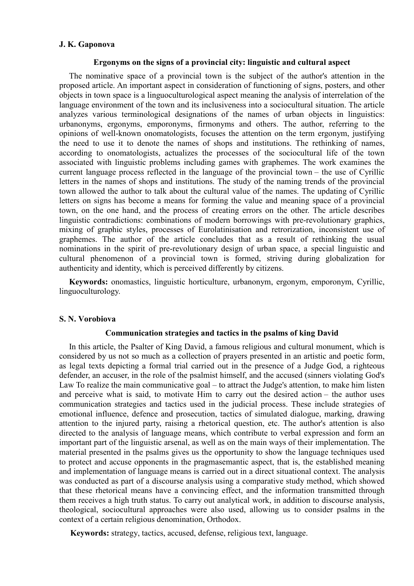## **J. K. Gaponova**

### **Ergonyms on the signs of a provincial city: linguistic and cultural aspect**

The nominative space of a provincial town is the subject of the author's attention in the proposed article. An important aspect in consideration of functioning of signs, posters, and other objects in town space is a linguoculturological aspect meaning the analysis of interrelation of the language environment of the town and its inclusiveness into a sociocultural situation. The article analyzes various terminological designations of the names of urban objects in linguistics: urbanonyms, ergonyms, emporonyms, firmonyms and others. The author, referring to the opinions of well-known onomatologists, focuses the attention on the term ergonym, justifying the need to use it to denote the names of shops and institutions. The rethinking of names, according to onomatologists, actualizes the processes of the sociocultural life of the town associated with linguistic problems including games with graphemes. The work examines the current language process reflected in the language of the provincial town – the use of Cyrillic letters in the names of shops and institutions. The study of the naming trends of the provincial town allowed the author to talk about the cultural value of the names. The updating of Cyrillic letters on signs has become a means for forming the value and meaning space of a provincial town, on the one hand, and the process of creating errors on the other. The article describes linguistic contradictions: combinations of modern borrowings with pre-revolutionary graphics, mixing of graphic styles, processes of Eurolatinisation and retrorization, inconsistent use of graphemes. The author of the article concludes that as a result of rethinking the usual nominations in the spirit of pre-revolutionary design of urban space, a special linguistic and cultural phenomenon of a provincial town is formed, striving during globalization for authenticity and identity, which is perceived differently by citizens.

**Keywords:** onomastics, linguistic horticulture, urbanonym, ergonym, emporonym, Cyrillic, linguoculturology.

## **S. N. Vorobiova**

## **Communication strategies and tactics in the psalms of king David**

In this article, the Psalter of King David, a famous religious and cultural monument, which is considered by us not so much as a collection of prayers presented in an artistic and poetic form, as legal texts depicting a formal trial carried out in the presence of a Judge God, a righteous defender, an accuser, in the role of the psalmist himself, and the accused (sinners violating God's Law To realize the main communicative goal – to attract the Judge's attention, to make him listen and perceive what is said, to motivate Him to carry out the desired action – the author uses communication strategies and tactics used in the judicial process. These include strategies of emotional influence, defence and prosecution, tactics of simulated dialogue, marking, drawing attention to the injured party, raising a rhetorical question, etc. The author's attention is also directed to the analysis of language means, which contribute to verbal expression and form an important part of the linguistic arsenal, as well as on the main ways of their implementation. The material presented in the psalms gives us the opportunity to show the language techniques used to protect and accuse opponents in the pragmasemantic aspect, that is, the established meaning and implementation of language means is carried out in a direct situational context. The analysis was conducted as part of a discourse analysis using a comparative study method, which showed that these rhetorical means have a convincing effect, and the information transmitted through them receives a high truth status. To carry out analytical work, in addition to discourse analysis, theological, sociocultural approaches were also used, allowing us to consider psalms in the context of a certain religious denomination, Orthodox.

**Keywords:** strategy, tactics, accused, defense, religious text, language.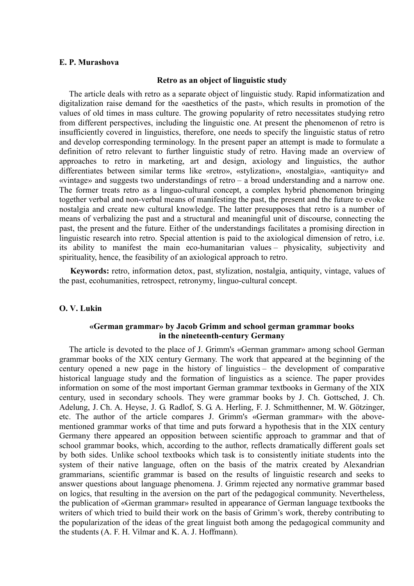### **E. P. Murashova**

#### **Retro as an object of linguistic study**

The article deals with retro as a separate object of linguistic study. Rapid informatization and digitalization raise demand for the «aesthetics of the past», which results in promotion of the values of old times in mass culture. The growing popularity of retro necessitates studying retro from different perspectives, including the linguistic one. At present the phenomenon of retro is insufficiently covered in linguistics, therefore, one needs to specify the linguistic status of retro and develop corresponding terminology. In the present paper an attempt is made to formulate a definition of retro relevant to further linguistic study of retro. Having made an overview of approaches to retro in marketing, art and design, axiology and linguistics, the author differentiates between similar terms like «retro», «stylization», «nostalgia», «antiquity» and «vintage» and suggests two understandings of retro – a broad understanding and a narrow one. The former treats retro as a linguo-cultural concept, a complex hybrid phenomenon bringing together verbal and non-verbal means of manifesting the past, the present and the future to evoke nostalgia and create new cultural knowledge. The latter presupposes that retro is a number of means of verbalizing the past and a structural and meaningful unit of discourse, connecting the past, the present and the future. Either of the understandings facilitates a promising direction in linguistic research into retro. Special attention is paid to the axiological dimension of retro, i.e. its ability to manifest the main eco-humanitarian values – physicality, subjectivity and spirituality, hence, the feasibility of an axiological approach to retro.

**Keywords:** retro, information detox, past, stylization, nostalgia, antiquity, vintage, values of the past, ecohumanities, retrospect, retronymy, linguo-cultural concept.

## **O. V. Lukin**

## **«German grammar» by Jacob Grimm and school german grammar books in the nineteenth-century Germany**

The article is devoted to the place of J. Grimm's «German grammar» among school German grammar books of the XIX century Germany. The work that appeared at the beginning of the century opened a new page in the history of linguistics – the development of comparative historical language study and the formation of linguistics as a science. The paper provides information on some of the most important German grammar textbooks in Germany of the XIX century, used in secondary schools. They were grammar books by J. Ch. Gottsched, J. Ch. Adelung, J. Ch. A. Heyse, J. G. Radlof, S. G. A. Herling, F. J. Schmitthenner, M. W. Götzinger, etc. The author of the article compares J. Grimm's «German grammar» with the abovementioned grammar works of that time and puts forward a hypothesis that in the XIX century Germany there appeared an opposition between scientific approach to grammar and that of school grammar books, which, according to the author, reflects dramatically different goals set by both sides. Unlike school textbooks which task is to consistently initiate students into the system of their native language, often on the basis of the matrix created by Alexandrian grammarians, scientific grammar is based on the results of linguistic research and seeks to answer questions about language phenomena. J. Grimm rejected any normative grammar based on logics, that resulting in the aversion on the part of the pedagogical community. Nevertheless, the publication of «German grammar» resulted in appearance of German language textbooks the writers of which tried to build their work on the basis of Grimm's work, thereby contributing to the popularization of the ideas of the great linguist both among the pedagogical community and the students (A. F. H. Vilmar and K. A. J. Hoffmann).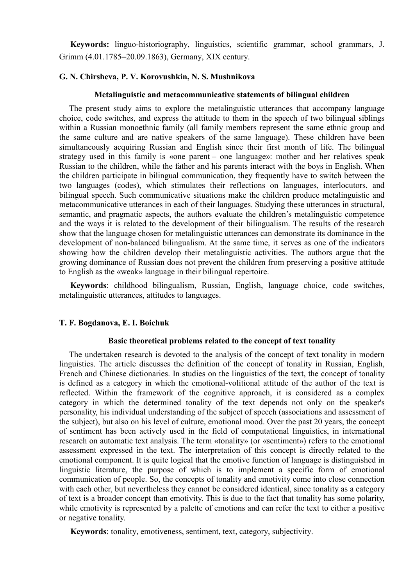**Keywords:** linguo-historiography, linguistics, scientific grammar, school grammars, J. Grimm (4.01.1785–20.09.1863), Germany, XIX century.

## **G. N. Chirsheva, P. V. Korovushkin, N. S. Mushnikova**

## **Metalinguistic and metacommunicative statements of bilingual children**

The present study aims to explore the metalinguistic utterances that accompany language choice, code switches, and express the attitude to them in the speech of two bilingual siblings within a Russian monoethnic family (all family members represent the same ethnic group and the same culture and are native speakers of the same language). These children have been simultaneously acquiring Russian and English since their first month of life. The bilingual strategy used in this family is «one parent – one language»: mother and her relatives speak Russian to the children, while the father and his parents interact with the boys in English. When the children participate in bilingual communication, they frequently have to switch between the two languages (codes), which stimulates their reflections on languages, interlocutors, and bilingual speech. Such communicative situations make the children produce metalinguistic and metacommunicative utterances in each of their languages. Studying these utterances in structural, semantic, and pragmatic aspects, the authors evaluate the children's metalinguistic competence and the ways it is related to the development of their bilingualism. The results of the research show that the language chosen for metalinguistic utterances can demonstrate its dominance in the development of non-balanced bilingualism. At the same time, it serves as one of the indicators showing how the children develop their metalinguistic activities. The authors argue that the growing dominance of Russian does not prevent the children from preserving a positive attitude to English as the «weak» language in their bilingual repertoire.

**Keywords**: childhood bilingualism, Russian, English, language choice, code switches, metalinguistic utterances, attitudes to languages.

### **T. F. Bogdanova, E. I. Boichuk**

# **Basic theoretical problems related to the concept of text tonality**

The undertaken research is devoted to the analysis of the concept of text tonality in modern linguistics. The article discusses the definition of the concept of tonality in Russian, English, French and Chinese dictionaries. In studies on the linguistics of the text, the concept of tonality is defined as a category in which the emotional-volitional attitude of the author of the text is reflected. Within the framework of the cognitive approach, it is considered as a complex category in which the determined tonality of the text depends not only on the speaker's personality, his individual understanding of the subject of speech (associations and assessment of the subject), but also on his level of culture, emotional mood. Over the past 20 years, the concept of sentiment has been actively used in the field of computational linguistics, in international research on automatic text analysis. The term «tonality» (or «sentiment») refers to the emotional assessment expressed in the text. The interpretation of this concept is directly related to the emotional component. It is quite logical that the emotive function of language is distinguished in linguistic literature, the purpose of which is to implement a specific form of emotional communication of people. So, the concepts of tonality and emotivity come into close connection with each other, but nevertheless they cannot be considered identical, since tonality as a category of text is a broader concept than emotivity. This is due to the fact that tonality has some polarity, while emotivity is represented by a palette of emotions and can refer the text to either a positive or negative tonality.

**Keywords**: tonality, emotiveness, sentiment, text, category, subjectivity.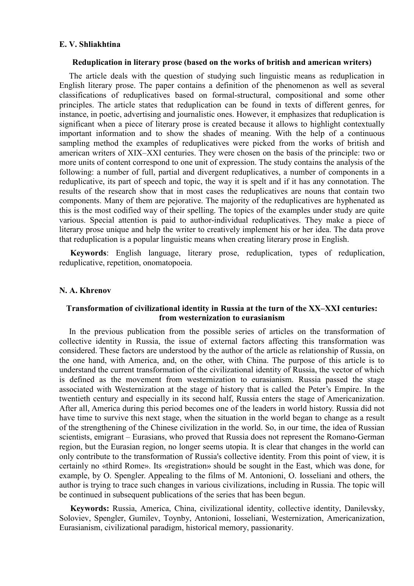### **E. V. Shliakhtina**

### **Reduplication in literary prose (based on the works of british and american writers)**

The article deals with the question of studying such linguistic means as reduplication in English literary prose. The paper contains a definition of the phenomenon as well as several classifications of reduplicatives based on formal-structural, compositional and some other principles. The article states that reduplication can be found in texts of different genres, for instance, in poetic, advertising and journalistic ones. However, it emphasizes that reduplication is significant when a piece of literary prose is created because it allows to highlight contextually important information and to show the shades of meaning. With the help of a continuous sampling method the examples of reduplicatives were picked from the works of british and american writers of XIX–XXI centuries. They were chosen on the basis of the principle: two or more units of content correspond to one unit of expression. The study contains the analysis of the following: a number of full, partial and divergent reduplicatives, a number of components in a reduplicative, its part of speech and topic, the way it is spelt and if it has any connotation. The results of the research show that in most cases the reduplicatives are nouns that contain two components. Many of them are pejorative. The majority of the reduplicatives are hyphenated as this is the most codified way of their spelling. The topics of the examples under study are quite various. Special attention is paid to author-individual reduplicatives. They make a piece of literary prose unique and help the writer to creatively implement his or her idea. The data prove that reduplication is a popular linguistic means when creating literary prose in English.

**Keywords**: English language, literary prose, reduplication, types of reduplication, reduplicative, repetition, onomatopoeia.

### **N. A. Khrenov**

## **Transformation of civilizational identity in Russia at the turn of the XX–XXI centuries: from westernization to eurasianism**

In the previous publication from the possible series of articles on the transformation of collective identity in Russia, the issue of external factors affecting this transformation was considered. These factors are understood by the author of the article as relationship of Russia, on the one hand, with America, and, on the other, with China. The purpose of this article is to understand the current transformation of the civilizational identity of Russia, the vector of which is defined as the movement from westernization to eurasianism. Russia passed the stage associated with Westernization at the stage of history that is called the Peter's Empire. In the twentieth century and especially in its second half, Russia enters the stage of Americanization. After all, America during this period becomes one of the leaders in world history. Russia did not have time to survive this next stage, when the situation in the world began to change as a result of the strengthening of the Chinese civilization in the world. So, in our time, the idea of Russian scientists, emigrant – Eurasians, who proved that Russia does not represent the Romano-German region, but the Eurasian region, no longer seems utopia. It is clear that changes in the world can only contribute to the transformation of Russia's collective identity. From this point of view, it is certainly no «third Rome». Its «registration» should be sought in the East, which was done, for example, by O. Spengler. Appealing to the films of M. Antonioni, O. Iosseliani and others, the author is trying to trace such changes in various civilizations, including in Russia. The topic will be continued in subsequent publications of the series that has been begun.

**Keywords:** Russia, America, China, civilizational identity, collective identity, Danilevsky, Soloviev, Spengler, Gumilev, Toynby, Antonioni, Iosseliani, Westernization, Americanization, Eurasianism, civilizational paradigm, historical memory, passionarity.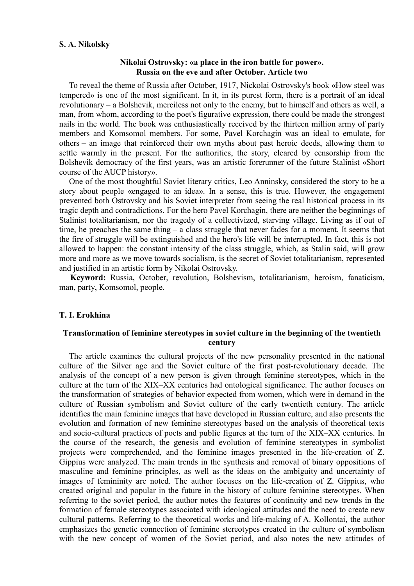### **S. A. Nikolsky**

## **Nikolai Ostrovsky: «a place in the iron battle for power». Russia on the eve and after October. Article two**

To reveal the theme of Russia after October, 1917, Nickolai Ostrovsky's book «How steel was tempered» is one of the most significant. In it, in its purest form, there is a portrait of an ideal revolutionary – a Bolshevik, merciless not only to the enemy, but to himself and others as well, a man, from whom, according to the poet's figurative expression, there could be made the strongest nails in the world. The book was enthusiastically received by the thirteen million army of party members and Komsomol members. For some, Pavel Korchagin was an ideal to emulate, for others – an image that reinforced their own myths about past heroic deeds, allowing them to settle warmly in the present. For the authorities, the story, cleared by censorship from the Bolshevik democracy of the first years, was an artistic forerunner of the future Stalinist «Short course of the AUCP history».

One of the most thoughtful Soviet literary critics, Leo Anninsky, considered the story to be a story about people «engaged to an idea». In a sense, this is true. However, the engagement prevented both Ostrovsky and his Soviet interpreter from seeing the real historical process in its tragic depth and contradictions. For the hero Pavel Korchagin, there are neither the beginnings of Stalinist totalitarianism, nor the tragedy of a collectivized, starving village. Living as if out of time, he preaches the same thing – a class struggle that never fades for a moment. It seems that the fire of struggle will be extinguished and the hero's life will be interrupted. In fact, this is not allowed to happen: the constant intensity of the class struggle, which, as Stalin said, will grow more and more as we move towards socialism, is the secret of Soviet totalitarianism, represented and justified in an artistic form by Nikolai Ostrovsky.

**Keyword:** Russia, October, revolution, Bolshevism, totalitarianism, heroism, fanaticism, man, party, Komsomol, people.

## **T. I. Erokhina**

# **Transformation of feminine stereotypes in soviet culture in the beginning of the twentieth century**

The article examines the cultural projects of the new personality presented in the national culture of the Silver age and the Soviet culture of the first post-revolutionary decade. The analysis of the concept of a new person is given through feminine stereotypes, which in the culture at the turn of the XIX–XX centuries had ontological significance. The author focuses on the transformation of strategies of behavior expected from women, which were in demand in the culture of Russian symbolism and Soviet culture of the early twentieth century. The article identifies the main feminine images that have developed in Russian culture, and also presents the evolution and formation of new feminine stereotypes based on the analysis of theoretical texts and socio-cultural practices of poets and public figures at the turn of the XIX–XX centuries. In the course of the research, the genesis and evolution of feminine stereotypes in symbolist projects were comprehended, and the feminine images presented in the life-creation of Z. Gippius were analyzed. The main trends in the synthesis and removal of binary oppositions of masculine and feminine principles, as well as the ideas on the ambiguity and uncertainty of images of femininity are noted. The author focuses on the life-creation of Z. Gippius, who created original and popular in the future in the history of culture feminine stereotypes. When referring to the soviet period, the author notes the features of continuity and new trends in the formation of female stereotypes associated with ideological attitudes and the need to create new cultural patterns. Referring to the theoretical works and life-making of A. Kollontai, the author emphasizes the genetic connection of feminine stereotypes created in the culture of symbolism with the new concept of women of the Soviet period, and also notes the new attitudes of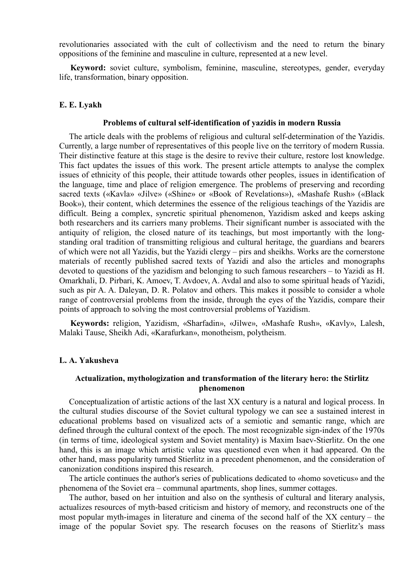revolutionaries associated with the cult of collectivism and the need to return the binary oppositions of the feminine and masculine in culture, represented at a new level.

**Keyword:** soviet culture, symbolism, feminine, masculine, stereotypes, gender, everyday life, transformation, binary opposition.

## **E. E. Lyakh**

#### **Problems of cultural self-identification of yazidis in modern Russia**

The article deals with the problems of religious and cultural self-determination of the Yazidis. Currently, a large number of representatives of this people live on the territory of modern Russia. Their distinctive feature at this stage is the desire to revive their culture, restore lost knowledge. This fact updates the issues of this work. The present article attempts to analyse the complex issues of ethnicity of this people, their attitude towards other peoples, issues in identification of the language, time and place of religion emergence. The problems of preserving and recording sacred texts («Kavla» «Jilve» («Shine» or «Book of Revelations»), «Mashafe Rush» («Black Book»), their content, which determines the essence of the religious teachings of the Yazidis are difficult. Being a complex, syncretic spiritual phenomenon, Yazidism asked and keeps asking both researchers and its carriers many problems. Their significant number is associated with the antiquity of religion, the closed nature of its teachings, but most importantly with the longstanding oral tradition of transmitting religious and cultural heritage, the guardians and bearers of which were not all Yazidis, but the Yazidi clergy – pirs and sheikhs. Works are the cornerstone materials of recently published sacred texts of Yazidi and also the articles and monographs devoted to questions of the yazidism and belonging to such famous researchers – to Yazidi as H. Omarkhali, D. Pirbari, K. Amoev, T. Avdoev, A. Avdal and also to some spiritual heads of Yazidi, such as pir A. A. Daleyan, D. R. Polatov and others. This makes it possible to consider a whole range of controversial problems from the inside, through the eyes of the Yazidis, compare their points of approach to solving the most controversial problems of Yazidism.

**Keywords:** religion, Yazidism, «Sharfadin», «Jilwe», «Mashafe Rush», «Kavly», Lalesh, Malaki Tause, Sheikh Adi, «Karafurkan», monotheism, polytheism.

### **L. А. Yakusheva**

## **Actualization, mythologization and transformation of the literary hero: the Stirlitz phenomenon**

Conceptualization of artistic actions of the last XX century is a natural and logical process. In the cultural studies discourse of the Soviet cultural typology we can see a sustained interest in educational problems based on visualized acts of a semiotic and semantic range, which are defined through the cultural context of the epoch. The most recognizable sign-index of the 1970s (in terms of time, ideological system and Soviet mentality) is Maxim Isaev-Stierlitz. On the one hand, this is an image which artistic value was questioned even when it had appeared. On the other hand, mass popularity turned Stierlitz in a precedent phenomenon, and the consideration of canonization conditions inspired this research.

The article continues the author's series of publications dedicated to «homo soveticus» and the phenomena of the Soviet era – communal apartments, shop lines, summer cottages.

The author, based on her intuition and also on the synthesis of cultural and literary analysis, actualizes resources of myth-based criticism and history of memory, and reconstructs one of the most popular myth-images in literature and cinema of the second half of the XX century – the image of the popular Soviet spy. The research focuses on the reasons of Stierlitz's mass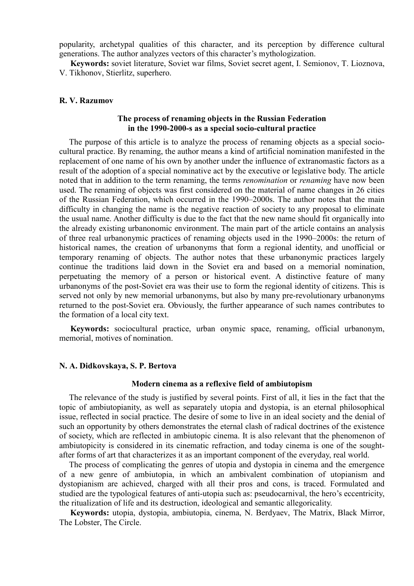popularity, archetypal qualities of this character, and its perception by difference cultural generations. The author analyzes vectors of this character's mythologization.

**Keywords:** soviet literature, Soviet war films, Soviet secret agent, I. Semionov, T. Lioznova, V. Tikhonov, Stierlitz, superhero.

### **R. V. Razumov**

## **The process of renaming objects in the Russian Federation in the 1990-2000-s as a special socio-cultural practice**

The purpose of this article is to analyze the process of renaming objects as a special sociocultural practice. By renaming, the author means a kind of artificial nomination manifested in the replacement of one name of his own by another under the influence of extranomastic factors as a result of the adoption of a special nominative act by the executive or legislative body. The article noted that in addition to the term renaming, the terms *renomination* or *renaming* have now been used. The renaming of objects was first considered on the material of name changes in 26 cities of the Russian Federation, which occurred in the 1990–2000s. The author notes that the main difficulty in changing the name is the negative reaction of society to any proposal to eliminate the usual name. Another difficulty is due to the fact that the new name should fit organically into the already existing urbanonomic environment. The main part of the article contains an analysis of three real urbanonymic practices of renaming objects used in the 1990–2000s: the return of historical names, the creation of urbanonyms that form a regional identity, and unofficial or temporary renaming of objects. The author notes that these urbanonymic practices largely continue the traditions laid down in the Soviet era and based on a memorial nomination, perpetuating the memory of a person or historical event. A distinctive feature of many urbanonyms of the post-Soviet era was their use to form the regional identity of citizens. This is served not only by new memorial urbanonyms, but also by many pre-revolutionary urbanonyms returned to the post-Soviet era. Obviously, the further appearance of such names contributes to the formation of a local city text.

**Keywords:** sociocultural practice, urban onymic space, renaming, official urbanonym, memorial, motives of nomination.

## **N. A. Didkovskaya, S. P. Bertova**

## **Modern cinema as a reflexive field of ambiutopism**

The relevance of the study is justified by several points. First of all, it lies in the fact that the topic of ambiutopianity, as well as separately utopia and dystopia, is an eternal philosophical issue, reflected in social practice. The desire of some to live in an ideal society and the denial of such an opportunity by others demonstrates the eternal clash of radical doctrines of the existence of society, which are reflected in ambiutopic cinema. It is also relevant that the phenomenon of ambiutopicity is considered in its cinematic refraction, and today cinema is one of the soughtafter forms of art that characterizes it as an important component of the everyday, real world.

The process of complicating the genres of utopia and dystopia in cinema and the emergence of a new genre of ambiutopia, in which an ambivalent combination of utopianism and dystopianism are achieved, charged with all their pros and cons, is traced. Formulated and studied are the typological features of anti-utopia such as: pseudocarnival, the hero's eccentricity, the ritualization of life and its destruction, ideological and semantic allegoricality.

**Keywords:** utopia, dystopia, ambiutopia, cinema, N. Berdyaev, The Matrix, Black Mirror, The Lobster, The Circle.